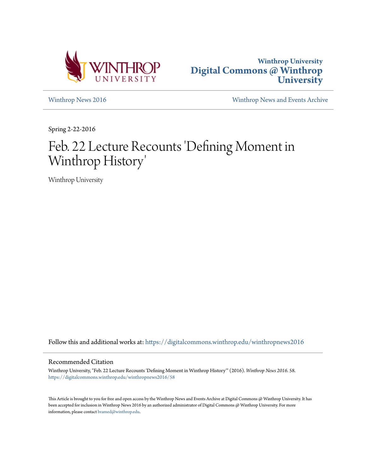



[Winthrop News 2016](https://digitalcommons.winthrop.edu/winthropnews2016?utm_source=digitalcommons.winthrop.edu%2Fwinthropnews2016%2F58&utm_medium=PDF&utm_campaign=PDFCoverPages) [Winthrop News and Events Archive](https://digitalcommons.winthrop.edu/winthropnewsarchives?utm_source=digitalcommons.winthrop.edu%2Fwinthropnews2016%2F58&utm_medium=PDF&utm_campaign=PDFCoverPages)

Spring 2-22-2016

## Feb. 22 Lecture Recounts 'Defining Moment in Winthrop History '

Winthrop University

Follow this and additional works at: [https://digitalcommons.winthrop.edu/winthropnews2016](https://digitalcommons.winthrop.edu/winthropnews2016?utm_source=digitalcommons.winthrop.edu%2Fwinthropnews2016%2F58&utm_medium=PDF&utm_campaign=PDFCoverPages)

## Recommended Citation

Winthrop University, "Feb. 22 Lecture Recounts 'Defining Moment in Winthrop History'" (2016). *Winthrop News 2016*. 58. [https://digitalcommons.winthrop.edu/winthropnews2016/58](https://digitalcommons.winthrop.edu/winthropnews2016/58?utm_source=digitalcommons.winthrop.edu%2Fwinthropnews2016%2F58&utm_medium=PDF&utm_campaign=PDFCoverPages)

This Article is brought to you for free and open access by the Winthrop News and Events Archive at Digital Commons @ Winthrop University. It has been accepted for inclusion in Winthrop News 2016 by an authorized administrator of Digital Commons @ Winthrop University. For more information, please contact [bramed@winthrop.edu](mailto:bramed@winthrop.edu).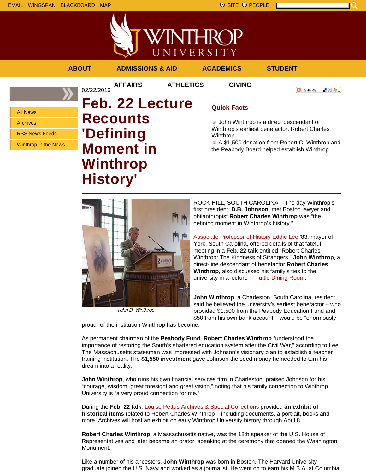







**History'**

John D. Winthrop

ROCK HILL, SOUTH CAROLINA – The day Winthrop's first president, **D.B. Johnson**, met Boston lawyer and philanthropist **Robert Charles Winthrop** was "the defining moment in Winthrop's history."

Associate Professor of History Eddie Lee '83, mayor of York, South Carolina, offered details of that fateful meeting in a **Feb. 22 talk** entitled "Robert Charles Winthrop: The Kindness of Strangers." **John Winthrop**, a direct-line descendant of benefactor **Robert Charles Winthrop**, also discussed his family's ties to the university in a lecture in Tuttle Dining Room.

**John Winthrop**, a Charleston, South Carolina, resident, said he believed the university's earliest benefactor – who provided \$1,500 from the Peabody Education Fund and \$50 from his own bank account – would be "enormously

proud" of the institution Winthrop has become.

As permanent chairman of the **Peabody Fund**, **Robert Charles Winthrop** "understood the importance of restoring the South's shattered education system after the Civil War," according to Lee. The Massachusetts statesman was impressed with Johnson's visionary plan to establish a teacher training institution. The **\$1,550 investment** gave Johnson the seed money he needed to turn his dream into a reality.

**John Winthrop**, who runs his own financial services firm in Charleston, praised Johnson for his "courage, wisdom, great foresight and great vision," noting that his family connection to Winthrop University is "a very proud connection for me."

During the **Feb. 22 talk**, Louise Pettus Archives & Special Collections provided **an exhibit of historical items** related to Robert Charles Winthrop – including documents, a portrait, books and more. Archives will host an exhibit on early Winthrop University history through April 8.

**Robert Charles Winthrop**, a Massachusetts native, was the 18th speaker of the U.S. House of Representatives and later became an orator, speaking at the ceremony that opened the Washington Monument.

Like a number of his ancestors, **John Winthrop** was born in Boston. The Harvard University graduate joined the U.S. Navy and worked as a journalist. He went on to earn his M.B.A. at Columbia